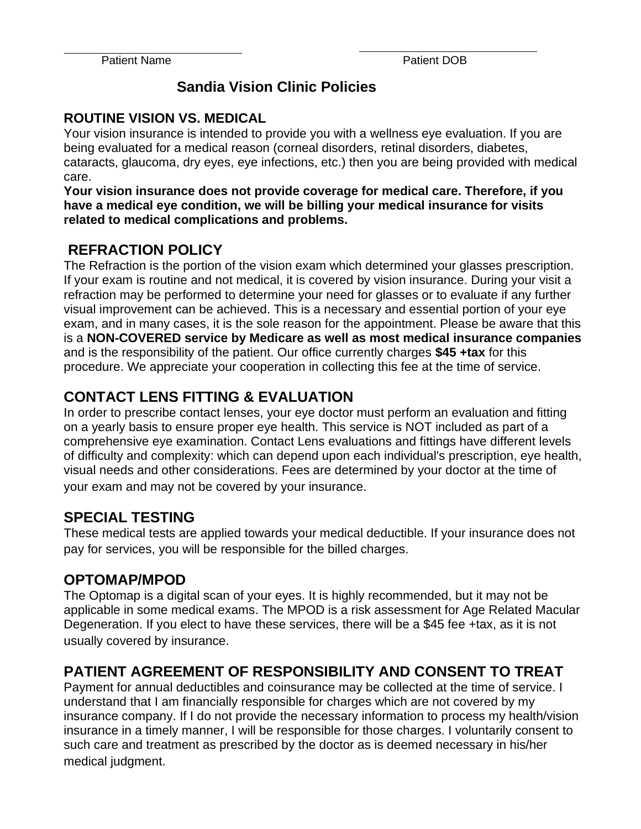## **Sandia Vision Clinic Policies**

#### **ROUTINE VISION VS. MEDICAL**

Your vision insurance is intended to provide you with a wellness eye evaluation. If you are being evaluated for a medical reason (corneal disorders, retinal disorders, diabetes, cataracts, glaucoma, dry eyes, eye infections, etc.) then you are being provided with medical care.

**Your vision insurance does not provide coverage for medical care. Therefore, if you have a medical eye condition, we will be billing your medical insurance for visits related to medical complications and problems.**

## **REFRACTION POLICY**

The Refraction is the portion of the vision exam which determined your glasses prescription. If your exam is routine and not medical, it is covered by vision insurance. During your visit a refraction may be performed to determine your need for glasses or to evaluate if any further visual improvement can be achieved. This is a necessary and essential portion of your eye exam, and in many cases, it is the sole reason for the appointment. Please be aware that this is a **NON-COVERED service by Medicare as well as most medical insurance companies** and is the responsibility of the patient. Our office currently charges **\$45 +tax** for this procedure. We appreciate your cooperation in collecting this fee at the time of service.

# **CONTACT LENS FITTING & EVALUATION**

In order to prescribe contact lenses, your eye doctor must perform an evaluation and fitting on a yearly basis to ensure proper eye health. This service is NOT included as part of a comprehensive eye examination. Contact Lens evaluations and fittings have different levels of difficulty and complexity: which can depend upon each individual's prescription, eye health, visual needs and other considerations. Fees are determined by your doctor at the time of your exam and may not be covered by your insurance.

## **SPECIAL TESTING**

These medical tests are applied towards your medical deductible. If your insurance does not pay for services, you will be responsible for the billed charges.

## **OPTOMAP/MPOD**

The Optomap is a digital scan of your eyes. It is highly recommended, but it may not be applicable in some medical exams. The MPOD is a risk assessment for Age Related Macular Degeneration. If you elect to have these services, there will be a \$45 fee +tax, as it is not usually covered by insurance.

# **PATIENT AGREEMENT OF RESPONSIBILITY AND CONSENT TO TREAT**

Payment for annual deductibles and coinsurance may be collected at the time of service. I understand that I am financially responsible for charges which are not covered by my insurance company. If I do not provide the necessary information to process my health/vision insurance in a timely manner, I will be responsible for those charges. I voluntarily consent to such care and treatment as prescribed by the doctor as is deemed necessary in his/her medical judgment.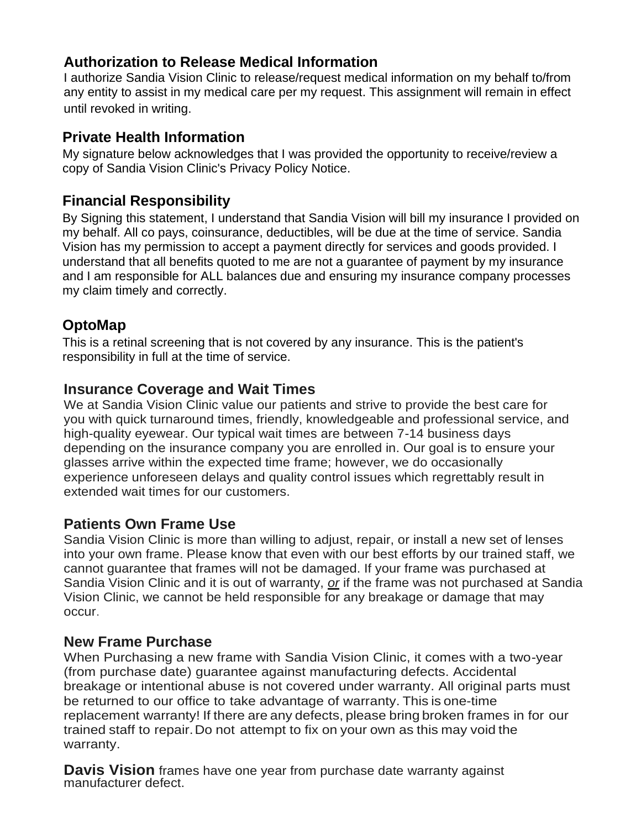## **Authorization to Release Medical Information**

I authorize Sandia Vision Clinic to release/request medical information on my behalf to/from any entity to assist in my medical care per my request. This assignment will remain in effect until revoked in writing.

### **Private Health Information**

My signature below acknowledges that I was provided the opportunity to receive/review a copy of Sandia Vision Clinic's Privacy Policy Notice.

## **Financial Responsibility**

By Signing this statement, I understand that Sandia Vision will bill my insurance I provided on my behalf. All co pays, coinsurance, deductibles, will be due at the time of service. Sandia Vision has my permission to accept a payment directly for services and goods provided. I understand that all benefits quoted to me are not a guarantee of payment by my insurance and I am responsible for ALL balances due and ensuring my insurance company processes my claim timely and correctly.

## **OptoMap**

This is a retinal screening that is not covered by any insurance. This is the patient's responsibility in full at the time of service.

#### **Insurance Coverage and Wait Times**

We at Sandia Vision Clinic value our patients and strive to provide the best care for you with quick turnaround times, friendly, knowledgeable and professional service, and high-quality eyewear. Our typical wait times are between 7-14 business days depending on the insurance company you are enrolled in. Our goal is to ensure your glasses arrive within the expected time frame; however, we do occasionally experience unforeseen delays and quality control issues which regrettably result in extended wait times for our customers.

#### **Patients Own Frame Use**

Sandia Vision Clinic is more than willing to adjust, repair, or install a new set of lenses into your own frame. Please know that even with our best efforts by our trained staff, we cannot guarantee that frames will not be damaged. If your frame was purchased at Sandia Vision Clinic and it is out of warranty, *or* if the frame was not purchased at Sandia Vision Clinic, we cannot be held responsible for any breakage or damage that may occur.

#### **New Frame Purchase**

When Purchasing a new frame with Sandia Vision Clinic, it comes with a two-year (from purchase date) guarantee against manufacturing defects. Accidental breakage or intentional abuse is not covered under warranty. All original parts must be returned to our office to take advantage of warranty. This is one-time replacement warranty! If there are any defects, please bring broken frames in for our trained staff to repair.Do not attempt to fix on your own as this may void the warranty.

**Davis Vision** frames have one year from purchase date warranty against manufacturer defect.